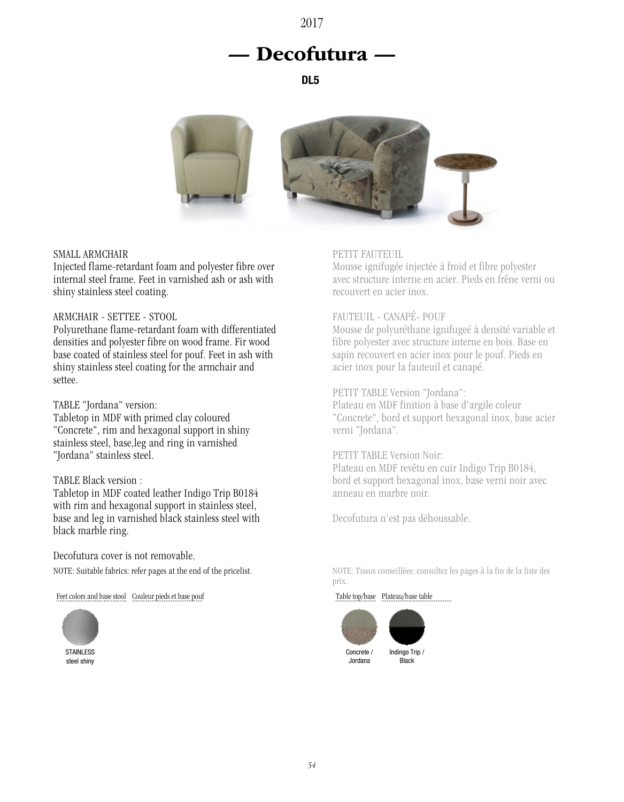## 2017

# — Decofutura —

DL5



## SMALL ARMCHAIR

Injected flame-retardant foam and polyester fibre over internal steel frame. Feet in varnished ash or ash with shiny stainless steel coating.

## ARMCHAIR - SETTEE - STOOL

Polyurethane flame-retardant foam with differentiated densities and polyester fibre on wood frame. Fir wood base coated of stainless steel for pouf. Feet in ash with shiny stainless steel coating for the armchair and settee.

#### TABLE "Jordana" version:

Tabletop in MDF with primed clay coloured "Concrete", rim and hexagonal support in shiny stainless steel, base,leg and ring in varnished "Jordana" stainless steel.

## TABLE Black version :

Tabletop in MDF coated leather Indigo Trip B0184 with rim and hexagonal support in stainless steel, base and leg in varnished black stainless steel with black marble ring.

Decofutura cover is not removable. NOTE: Suitable fabrics: refer pages at the end of the pricelist.

Feet colors and base stool Couleur pieds et base pouf



steel shiny

## PETIT FAUTEUIL

Mousse ignifugée injectée à froid et fibre polyester avec structure interne en acier. Pieds en frêne verni ou recouvert en acier inox.

## FAUTEUIL - CANAPÉ- POUF

Mousse de polyuréthane ignifugeé à densité variable et fibre polyester avec structure interne en bois. Base en sapin recouvert en acier inox pour le pouf. Pieds en acier inox pour la fauteuil et canapé.

## PETIT TABLE Version "Jordana":

Plateau en MDF finition à base d'argile coleur "Concrete", bord et support hexagonal inox, base acier verni "Jordana".

PETIT TABLE Version Noir: Plateau en MDF revêtu en cuir Indigo Trip B0184, bord et support hexagonal inox, base verni noir avec anneau en marbre noir.

Decofutura n'est pas déhoussable.

NOTE: Tissus conseillées: consultez les pages à la fin de la liste des prix.

Table top/base Plateau/base table



Jordana

Indingo Trip / Black